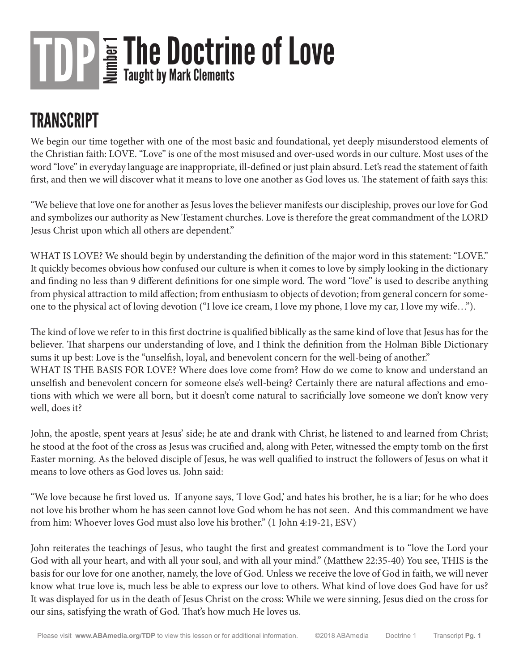#### **TRANSCRIPT**

We begin our time together with one of the most basic and foundational, yet deeply misunderstood elements of the Christian faith: LOVE. "Love" is one of the most misused and over-used words in our culture. Most uses of the word "love" in everyday language are inappropriate, ill-defined or just plain absurd. Let's read the statement of faith first, and then we will discover what it means to love one another as God loves us. The statement of faith says this:

"We believe that love one for another as Jesus loves the believer manifests our discipleship, proves our love for God and symbolizes our authority as New Testament churches. Love is therefore the great commandment of the LORD Jesus Christ upon which all others are dependent."

WHAT IS LOVE? We should begin by understanding the definition of the major word in this statement: "LOVE." It quickly becomes obvious how confused our culture is when it comes to love by simply looking in the dictionary and finding no less than 9 different definitions for one simple word. The word "love" is used to describe anything from physical attraction to mild affection; from enthusiasm to objects of devotion; from general concern for someone to the physical act of loving devotion ("I love ice cream, I love my phone, I love my car, I love my wife…").

The kind of love we refer to in this first doctrine is qualified biblically as the same kind of love that Jesus has for the believer. That sharpens our understanding of love, and I think the definition from the Holman Bible Dictionary sums it up best: Love is the "unselfish, loyal, and benevolent concern for the well-being of another." WHAT IS THE BASIS FOR LOVE? Where does love come from? How do we come to know and understand an unselfish and benevolent concern for someone else's well-being? Certainly there are natural affections and emotions with which we were all born, but it doesn't come natural to sacrificially love someone we don't know very well, does it?

John, the apostle, spent years at Jesus' side; he ate and drank with Christ, he listened to and learned from Christ; he stood at the foot of the cross as Jesus was crucified and, along with Peter, witnessed the empty tomb on the first Easter morning. As the beloved disciple of Jesus, he was well qualified to instruct the followers of Jesus on what it means to love others as God loves us. John said:

"We love because he first loved us. If anyone says, 'I love God,' and hates his brother, he is a liar; for he who does not love his brother whom he has seen cannot love God whom he has not seen. And this commandment we have from him: Whoever loves God must also love his brother." (1 John 4:19-21, ESV)

John reiterates the teachings of Jesus, who taught the first and greatest commandment is to "love the Lord your God with all your heart, and with all your soul, and with all your mind." (Matthew 22:35-40) You see, THIS is the basis for our love for one another, namely, the love of God. Unless we receive the love of God in faith, we will never know what true love is, much less be able to express our love to others. What kind of love does God have for us? It was displayed for us in the death of Jesus Christ on the cross: While we were sinning, Jesus died on the cross for our sins, satisfying the wrath of God. That's how much He loves us.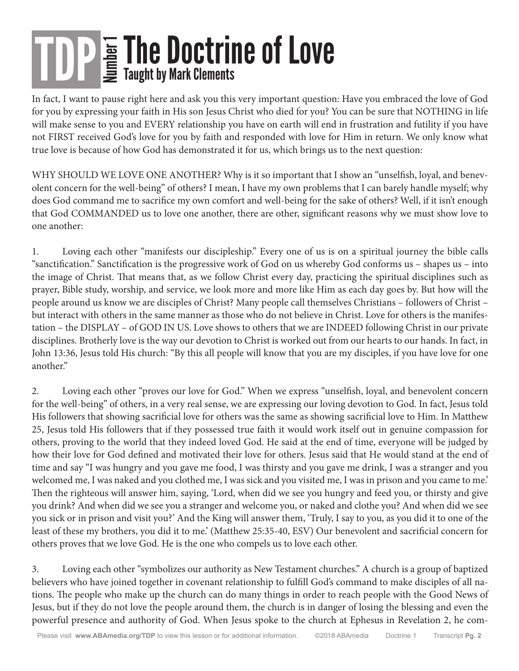In fact, I want to pause right here and ask you this very important question: Have you embraced the love of God for you by expressing your faith in His son Jesus Christ who died for you? You can be sure that NOTHING in life will make sense to you and EVERY relationship you have on earth will end in frustration and futility if you have not FIRST received God's love for you by faith and responded with love for Him in return. We only know what true love is because of how God has demonstrated it for us, which brings us to the next question:

WHY SHOULD WE LOVE ONE ANOTHER? Why is it so important that I show an "unselfish, loyal, and benevolent concern for the well-being" of others? I mean, I have my own problems that I can barely handle myself; why does God command me to sacrifice my own comfort and well-being for the sake of others? Well, if it isn't enough that God COMMANDED us to love one another, there are other, significant reasons why we must show love to one another:

1. Loving each other "manifests our discipleship." Every one of us is on a spiritual journey the bible calls "sanctification." Sanctification is the progressive work of God on us whereby God conforms us – shapes us – into the image of Christ. That means that, as we follow Christ every day, practicing the spiritual disciplines such as prayer, Bible study, worship, and service, we look more and more like Him as each day goes by. But how will the people around us know we are disciples of Christ? Many people call themselves Christians – followers of Christ – but interact with others in the same manner as those who do not believe in Christ. Love for others is the manifestation – the DISPLAY – of GOD IN US. Love shows to others that we are INDEED following Christ in our private disciplines. Brotherly love is the way our devotion to Christ is worked out from our hearts to our hands. In fact, in John 13:36, Jesus told His church: "By this all people will know that you are my disciples, if you have love for one another."

2. Loving each other "proves our love for God." When we express "unselfish, loyal, and benevolent concern for the well-being" of others, in a very real sense, we are expressing our loving devotion to God. In fact, Jesus told His followers that showing sacrificial love for others was the same as showing sacrificial love to Him. In Matthew 25, Jesus told His followers that if they possessed true faith it would work itself out in genuine compassion for others, proving to the world that they indeed loved God. He said at the end of time, everyone will be judged by how their love for God defined and motivated their love for others. Jesus said that He would stand at the end of time and say "I was hungry and you gave me food, I was thirsty and you gave me drink, I was a stranger and you welcomed me, I was naked and you clothed me, I was sick and you visited me, I was in prison and you came to me.' Then the righteous will answer him, saying, 'Lord, when did we see you hungry and feed you, or thirsty and give you drink? And when did we see you a stranger and welcome you, or naked and clothe you? And when did we see you sick or in prison and visit you?' And the King will answer them, 'Truly, I say to you, as you did it to one of the least of these my brothers, you did it to me.' (Matthew 25:35-40, ESV) Our benevolent and sacrificial concern for others proves that we love God. He is the one who compels us to love each other.

3. Loving each other "symbolizes our authority as New Testament churches." A church is a group of baptized believers who have joined together in covenant relationship to fulfill God's command to make disciples of all nations. The people who make up the church can do many things in order to reach people with the Good News of Jesus, but if they do not love the people around them, the church is in danger of losing the blessing and even the powerful presence and authority of God. When Jesus spoke to the church at Ephesus in Revelation 2, he com-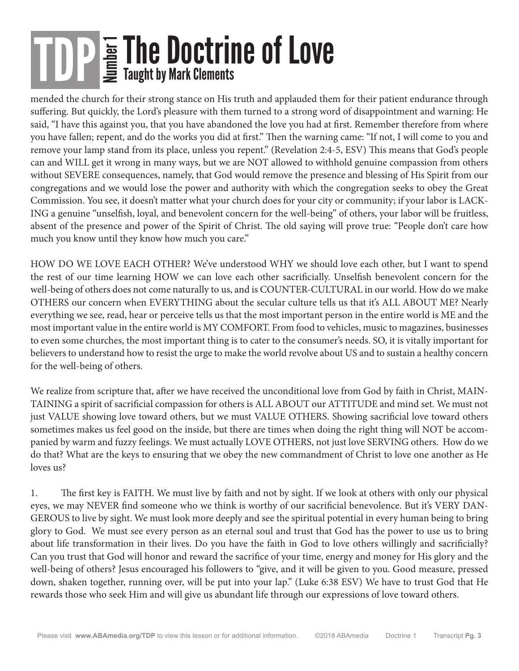mended the church for their strong stance on His truth and applauded them for their patient endurance through suffering. But quickly, the Lord's pleasure with them turned to a strong word of disappointment and warning: He said, "I have this against you, that you have abandoned the love you had at first. Remember therefore from where you have fallen; repent, and do the works you did at first." Then the warning came: "If not, I will come to you and remove your lamp stand from its place, unless you repent." (Revelation 2:4-5, ESV) This means that God's people can and WILL get it wrong in many ways, but we are NOT allowed to withhold genuine compassion from others without SEVERE consequences, namely, that God would remove the presence and blessing of His Spirit from our congregations and we would lose the power and authority with which the congregation seeks to obey the Great Commission. You see, it doesn't matter what your church does for your city or community; if your labor is LACK-ING a genuine "unselfish, loyal, and benevolent concern for the well-being" of others, your labor will be fruitless, absent of the presence and power of the Spirit of Christ. The old saying will prove true: "People don't care how much you know until they know how much you care."

HOW DO WE LOVE EACH OTHER? We've understood WHY we should love each other, but I want to spend the rest of our time learning HOW we can love each other sacrificially. Unselfish benevolent concern for the well-being of others does not come naturally to us, and is COUNTER-CULTURAL in our world. How do we make OTHERS our concern when EVERYTHING about the secular culture tells us that it's ALL ABOUT ME? Nearly everything we see, read, hear or perceive tells us that the most important person in the entire world is ME and the most important value in the entire world is MY COMFORT. From food to vehicles, music to magazines, businesses to even some churches, the most important thing is to cater to the consumer's needs. SO, it is vitally important for believers to understand how to resist the urge to make the world revolve about US and to sustain a healthy concern for the well-being of others.

We realize from scripture that, after we have received the unconditional love from God by faith in Christ, MAIN-TAINING a spirit of sacrificial compassion for others is ALL ABOUT our ATTITUDE and mind set. We must not just VALUE showing love toward others, but we must VALUE OTHERS. Showing sacrificial love toward others sometimes makes us feel good on the inside, but there are times when doing the right thing will NOT be accompanied by warm and fuzzy feelings. We must actually LOVE OTHERS, not just love SERVING others. How do we do that? What are the keys to ensuring that we obey the new commandment of Christ to love one another as He loves us?

1. The first key is FAITH. We must live by faith and not by sight. If we look at others with only our physical eyes, we may NEVER find someone who we think is worthy of our sacrificial benevolence. But it's VERY DAN-GEROUS to live by sight. We must look more deeply and see the spiritual potential in every human being to bring glory to God. We must see every person as an eternal soul and trust that God has the power to use us to bring about life transformation in their lives. Do you have the faith in God to love others willingly and sacrificially? Can you trust that God will honor and reward the sacrifice of your time, energy and money for His glory and the well-being of others? Jesus encouraged his followers to "give, and it will be given to you. Good measure, pressed down, shaken together, running over, will be put into your lap." (Luke 6:38 ESV) We have to trust God that He rewards those who seek Him and will give us abundant life through our expressions of love toward others.